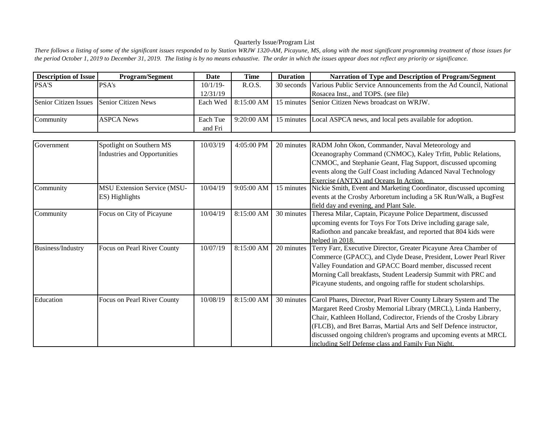## Quarterly Issue/Program List

There follows a listing of some of the significant issues responded to by Station WRJW 1320-AM, Picayune, MS, along with the most significant programming treatment of those issues for *the period October 1, 2019 to December 31, 2019. The listing is by no means exhaustive. The order in which the issues appear does not reflect any priority or significance.*

| <b>Description of Issue</b>  | <b>Program/Segment</b>              | <b>Date</b> | <b>Time</b> | <b>Duration</b> | Narration of Type and Description of Program/Segment               |
|------------------------------|-------------------------------------|-------------|-------------|-----------------|--------------------------------------------------------------------|
| <b>PSA'S</b>                 | PSA's                               | $10/1/19$ - | R.O.S.      | 30 seconds      | Various Public Service Announcements from the Ad Council, National |
|                              |                                     | 12/31/19    |             |                 | Rosacea Inst., and TOPS. (see file)                                |
| <b>Senior Citizen Issues</b> | <b>Senior Citizen News</b>          | Each Wed    | 8:15:00 AM  | 15 minutes      | Senior Citizen News broadcast on WRJW.                             |
|                              |                                     |             |             |                 |                                                                    |
| Community                    | <b>ASPCA News</b>                   | Each Tue    | 9:20:00 AM  | 15 minutes      | Local ASPCA news, and local pets available for adoption.           |
|                              |                                     | and Fri     |             |                 |                                                                    |
|                              |                                     |             |             |                 |                                                                    |
| Government                   | Spotlight on Southern MS            | 10/03/19    | 4:05:00 PM  | 20 minutes      | RADM John Okon, Commander, Naval Meteorology and                   |
|                              | <b>Industries and Opportunities</b> |             |             |                 | Oceanography Command (CNMOC), Kaley Trfitt, Public Relations,      |
|                              |                                     |             |             |                 | CNMOC, and Stephanie Geant, Flag Support, discussed upcoming       |
|                              |                                     |             |             |                 | events along the Gulf Coast including Adanced Naval Technology     |
|                              |                                     |             |             |                 | Exercise (ANTX) and Oceans In Action.                              |
| Community                    | <b>MSU Extension Service (MSU-</b>  | 10/04/19    | 9:05:00 AM  | 15 minutes      | Nickie Smith, Event and Marketing Coordinator, discussed upcoming  |
|                              | ES) Highlights                      |             |             |                 | events at the Crosby Arboretum including a 5K Run/Walk, a BugFest  |
|                              |                                     |             |             |                 | field day and evening, and Plant Sale.                             |
| Community                    | Focus on City of Picayune           | 10/04/19    | 8:15:00 AM  | 30 minutes      | Theresa Milar, Captain, Picayune Police Department, discussed      |
|                              |                                     |             |             |                 | upcoming events for Toys For Tots Drive including garage sale,     |
|                              |                                     |             |             |                 | Radiothon and pancake breakfast, and reported that 804 kids were   |
|                              |                                     |             |             |                 | helped in 2018.                                                    |
| Business/Industry            | Focus on Pearl River County         | 10/07/19    | 8:15:00 AM  | 20 minutes      | Terry Farr, Executive Director, Greater Picayune Area Chamber of   |
|                              |                                     |             |             |                 | Commerce (GPACC), and Clyde Dease, President, Lower Pearl River    |
|                              |                                     |             |             |                 | Valley Foundation and GPACC Board member, discussed recent         |
|                              |                                     |             |             |                 | Morning Call breakfasts, Student Leadersip Summit with PRC and     |
|                              |                                     |             |             |                 | Picayune students, and ongoing raffle for student scholarships.    |
| Education                    | Focus on Pearl River County         | 10/08/19    | 8:15:00 AM  | 30 minutes      | Carol Phares, Director, Pearl River County Library System and The  |
|                              |                                     |             |             |                 | Margaret Reed Crosby Memorial Library (MRCL), Linda Hanberry,      |
|                              |                                     |             |             |                 | Chair, Kathleen Holland, Codirector, Friends of the Crosby Library |
|                              |                                     |             |             |                 | (FLCB), and Bret Barras, Martial Arts and Self Defence instructor, |
|                              |                                     |             |             |                 | discussed ongoing children's programs and upcoming events at MRCL  |
|                              |                                     |             |             |                 | including Self Defense class and Family Fun Night.                 |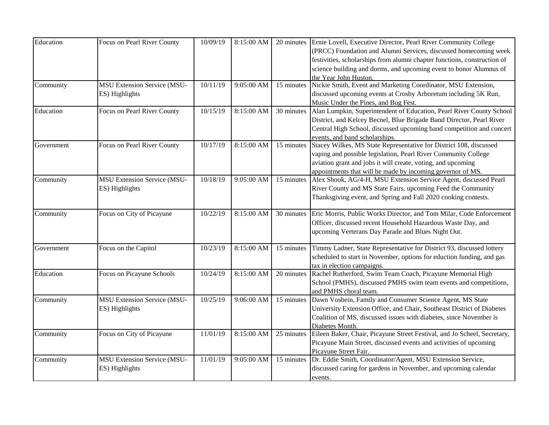| Education  | Focus on Pearl River County        | 10/09/19 | 8:15:00 AM |            | 20 minutes Ernie Lovell, Executive Director, Pearl River Community College |
|------------|------------------------------------|----------|------------|------------|----------------------------------------------------------------------------|
|            |                                    |          |            |            | (PRCC) Foundation and Alumni Services, discussed homecoming week           |
|            |                                    |          |            |            | festivities, scholarships from alumni chapter functions, construction of   |
|            |                                    |          |            |            | science building and dorms, and upcoming event to honor Alumnus of         |
|            |                                    |          |            |            | the Year John Huston.                                                      |
| Community  | <b>MSU Extension Service (MSU-</b> | 10/11/19 | 9:05:00 AM | 15 minutes | Nickie Smith, Event and Marketing Coordinator, MSU Extension,              |
|            | ES) Highlights                     |          |            |            | discussed upcoming events at Crosby Arboretum including 5K Run,            |
|            |                                    |          |            |            | Music Under the Pines, and Bug Fest.                                       |
| Education  | Focus on Pearl River County        | 10/15/19 | 8:15:00 AM | 30 minutes | Alan Lumpkin, Superintendent of Education, Pearl River County School       |
|            |                                    |          |            |            | District, and Kelcey Becnel, Blue Brigade Band Director, Pearl River       |
|            |                                    |          |            |            | Central High School, discussed upcoming band competition and concert       |
|            |                                    |          |            |            | events, and band scholarships.                                             |
| Government | Focus on Pearl River County        | 10/17/19 | 8:15:00 AM | 15 minutes | Stacey Wilkes, MS State Representative for District 108, discussed         |
|            |                                    |          |            |            | vaping and possible legislation, Pearl River Community College             |
|            |                                    |          |            |            | aviation grant and jobs it will create, voting, and upcoming               |
|            |                                    |          |            |            | appointments that will be made by incoming governor of MS.                 |
| Community  | <b>MSU Extension Service (MSU-</b> | 10/18/19 | 9:05:00 AM | 15 minutes | Alex Shook, AG/4-H, MSU Extension Service Agent, discussed Pearl           |
|            | ES) Highlights                     |          |            |            | River County and MS State Fairs, upcoming Feed the Community               |
|            |                                    |          |            |            | Thanksgiving event, and Spring and Fall 2020 cooking contests.             |
|            |                                    |          |            |            |                                                                            |
| Community  | Focus on City of Picayune          | 10/22/19 | 8:15:00 AM | 30 minutes | Eric Morris, Public Works Director, and Tom Milar, Code Enforcement        |
|            |                                    |          |            |            | Officer, discussed recent Household Hazardous Waste Day, and               |
|            |                                    |          |            |            | upcoming Verterans Day Parade and Blues Night Out.                         |
| Government | Focus on the Capitol               | 10/23/19 | 8:15:00 AM | 15 minutes | Timmy Ladner, State Representative for District 93, discussed lottery      |
|            |                                    |          |            |            | scheduled to start in November, options for eduction funding, and gas      |
|            |                                    |          |            |            | tax in election campaigns.                                                 |
| Education  | Focus on Picayune Schools          | 10/24/19 | 8:15:00 AM | 20 minutes | Rachel Rutherford, Swim Team Coach, Picayune Memorial High                 |
|            |                                    |          |            |            | School (PMHS), discussed PMHS swim team events and competitions,           |
|            |                                    |          |            |            | and PMHS choral team.                                                      |
| Community  | <b>MSU Extension Service (MSU-</b> | 10/25/19 | 9:06:00 AM | 15 minutes | Dawn Vosbein, Family and Consumer Science Agent, MS State                  |
|            | ES) Highlights                     |          |            |            | University Extension Office, and Chair, Southeast District of Diabetes     |
|            |                                    |          |            |            | Coalition of MS, discussed issues with diabetes, since November is         |
|            |                                    |          |            |            | Diabetes Month.                                                            |
| Community  | Focus on City of Picayune          | 11/01/19 | 8:15:00 AM | 25 minutes | Eileen Baker, Chair, Picayune Street Festival, and Jo Scheel, Secretary,   |
|            |                                    |          |            |            | Picayune Main Street, discussed events and activities of upcoming          |
|            |                                    |          |            |            | Picayune Street Fair.                                                      |
| Community  | <b>MSU Extension Service (MSU-</b> | 11/01/19 | 9:05:00 AM | 15 minutes | Dr. Eddie Smith, Coordinator/Agent, MSU Extension Service,                 |
|            | ES) Highlights                     |          |            |            | discussed caring for gardens in November, and upcoming calendar            |
|            |                                    |          |            |            | events.                                                                    |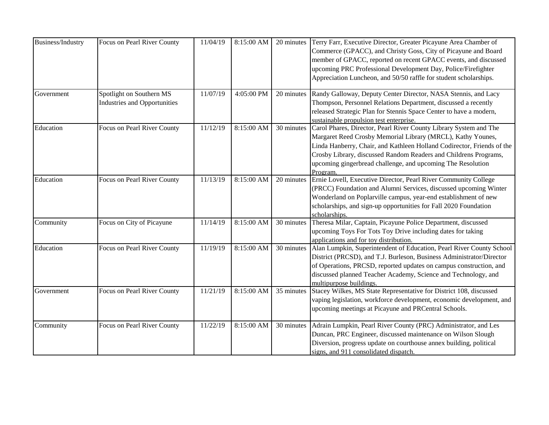| Business/Industry | Focus on Pearl River County                                     | 11/04/19 | 8:15:00 AM | 20 minutes | Terry Farr, Executive Director, Greater Picayune Area Chamber of<br>Commerce (GPACC), and Christy Goss, City of Picayune and Board<br>member of GPACC, reported on recent GPACC events, and discussed<br>upcoming PRC Professional Development Day, Police/Firefighter<br>Appreciation Luncheon, and 50/50 raffle for student scholarships.               |
|-------------------|-----------------------------------------------------------------|----------|------------|------------|-----------------------------------------------------------------------------------------------------------------------------------------------------------------------------------------------------------------------------------------------------------------------------------------------------------------------------------------------------------|
| Government        | Spotlight on Southern MS<br><b>Industries and Opportunities</b> | 11/07/19 | 4:05:00 PM | 20 minutes | Randy Galloway, Deputy Center Director, NASA Stennis, and Lacy<br>Thompson, Personnel Relations Department, discussed a recently<br>released Strategic Plan for Stennis Space Center to have a modern,<br>sustainable propulsion test enterprise.                                                                                                         |
| Education         | Focus on Pearl River County                                     | 11/12/19 | 8:15:00 AM | 30 minutes | Carol Phares, Director, Pearl River County Library System and The<br>Margaret Reed Crosby Memorial Library (MRCL), Kathy Younes,<br>Linda Hanberry, Chair, and Kathleen Holland Codirector, Friends of the<br>Crosby Library, discussed Random Readers and Childrens Programs,<br>upcoming gingerbread challenge, and upcoming The Resolution<br>Program. |
| Education         | Focus on Pearl River County                                     | 11/13/19 | 8:15:00 AM | 20 minutes | Ernie Lovell, Executive Director, Pearl River Community College<br>(PRCC) Foundation and Alumni Services, discussed upcoming Winter<br>Wonderland on Poplarville campus, year-end establishment of new<br>scholarships, and sign-up opportunities for Fall 2020 Foundation<br>scholarships.                                                               |
| Community         | Focus on City of Picayune                                       | 11/14/19 | 8:15:00 AM | 30 minutes | Theresa Milar, Captain, Picayune Police Department, discussed<br>upcoming Toys For Tots Toy Drive including dates for taking<br>applications and for toy distribution.                                                                                                                                                                                    |
| Education         | Focus on Pearl River County                                     | 11/19/19 | 8:15:00 AM | 30 minutes | Alan Lumpkin, Superintendent of Education, Pearl River County School<br>District (PRCSD), and T.J. Burleson, Business Administrator/Director<br>of Operations, PRCSD, reported updates on campus construction, and<br>discussed planned Teacher Academy, Science and Technology, and<br>multipurpose buildings                                            |
| Government        | Focus on Pearl River County                                     | 11/21/19 | 8:15:00 AM | 35 minutes | Stacey Wilkes, MS State Representative for District 108, discussed<br>vaping legislation, workforce development, economic development, and<br>upcoming meetings at Picayune and PRCentral Schools.                                                                                                                                                        |
| Community         | Focus on Pearl River County                                     | 11/22/19 | 8:15:00 AM | 30 minutes | Adrain Lumpkin, Pearl River County (PRC) Administrator, and Les<br>Duncan, PRC Engineer, discussed maintenance on Wilson Slough<br>Diversion, progress update on courthouse annex building, political<br>signs, and 911 consolidated dispatch.                                                                                                            |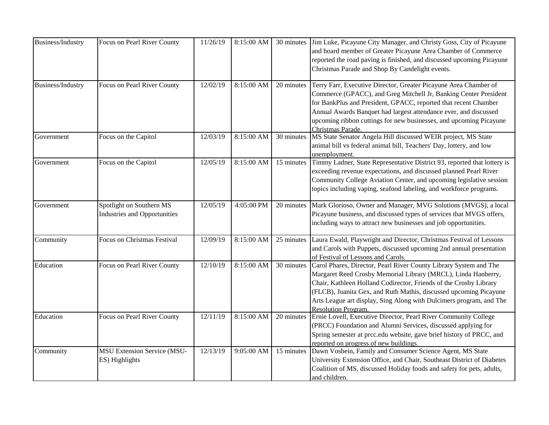| <b>Business/Industry</b> | Focus on Pearl River County                                     | 11/26/19 | 8:15:00 AM | 30 minutes | Jim Luke, Picayune City Manager, and Christy Goss, City of Picayune<br>and board member of Greater Picayune Area Chamber of Commerce<br>reported the road paving is finished, and discussed upcoming Picayune<br>Christmas Parade and Shop By Candelight events.                                                                                                                  |
|--------------------------|-----------------------------------------------------------------|----------|------------|------------|-----------------------------------------------------------------------------------------------------------------------------------------------------------------------------------------------------------------------------------------------------------------------------------------------------------------------------------------------------------------------------------|
| Business/Industry        | Focus on Pearl River County                                     | 12/02/19 | 8:15:00 AM | 20 minutes | Terry Farr, Executive Director, Greater Picayune Area Chamber of<br>Commerce (GPACC), and Greg Mitchell Jr, Banking Center President<br>for BankPlus and President, GPACC, reported that recent Chamber<br>Annual Awards Banquet had largest attendance ever, and discussed<br>upcoming ribbon cuttings for new businesses, and upcoming Picayune<br>Christmas Parade.            |
| Government               | Focus on the Capitol                                            | 12/03/19 | 8:15:00 AM | 30 minutes | MS State Senator Angela Hill discussed WEIR project, MS State<br>animal bill vs federal animal bill, Teachers' Day, lottery, and low<br>unemployment.                                                                                                                                                                                                                             |
| Government               | Focus on the Capitol                                            | 12/05/19 | 8:15:00 AM | 15 minutes | Timmy Ladner, State Representative District 93, reported that lottery is<br>exceeding revenue expectations, and discussed planned Pearl River<br>Community College Aviation Center, and upcoming legislative session<br>topics including vaping, seafood labeling, and workforce programs.                                                                                        |
| Government               | Spotlight on Southern MS<br><b>Industries and Opportunities</b> | 12/05/19 | 4:05:00 PM | 20 minutes | Mark Glorioso, Owner and Manager, MVG Solutions (MVGS), a local<br>Picayune business, and discussed types of services that MVGS offers,<br>including ways to attract new businesses and job opportunities.                                                                                                                                                                        |
| Community                | Focus on Christmas Festival                                     | 12/09/19 | 8:15:00 AM | 25 minutes | Laura Ewald, Playwright and Director, Christmas Festival of Lessons<br>and Carols with Puppets, discussed upcoming 2nd annual presentation<br>of Festival of Lessons and Carols.                                                                                                                                                                                                  |
| Education                | Focus on Pearl River County                                     | 12/10/19 | 8:15:00 AM | 30 minutes | Carol Phares, Director, Pearl River County Library System and The<br>Margaret Reed Crosby Memorial Library (MRCL), Linda Hanberry,<br>Chair, Kathleen Holland Codirector, Friends of the Crosby Library<br>(FLCB), Juanita Gex, and Ruth Mathis, discussed upcoming Picayune<br>Arts League art display, Sing Along with Dulcimers program, and The<br><b>Resolution Program.</b> |
| Education                | Focus on Pearl River County                                     | 12/11/19 | 8:15:00 AM | 20 minutes | Ernie Lovell, Executive Director, Pearl River Community College<br>(PRCC) Foundation and Alumni Services, discussed applying for<br>Spring semester at prcc.edu website, gave brief history of PRCC, and<br>reported on progress of new buildings.                                                                                                                                |
| Community                | <b>MSU Extension Service (MSU-</b><br>ES) Highlights            | 12/13/19 | 9:05:00 AM | 15 minutes | Dawn Vosbein, Family and Consumer Science Agent, MS State<br>University Extension Office, and Chair, Southeast District of Diabetes<br>Coalition of MS, discussed Holiday foods and safety for pets, adults,<br>and children.                                                                                                                                                     |